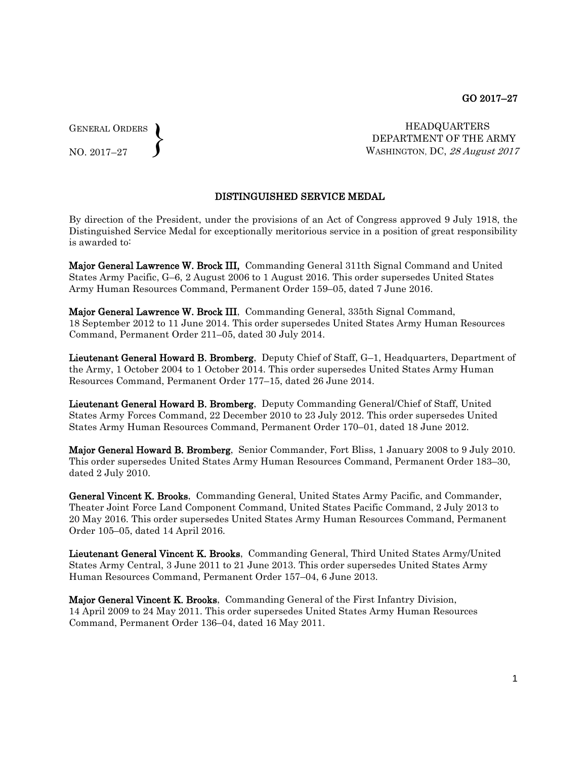GENERAL ORDERS  $\left\{ \right\}$ 

NO. 2017–27

HEADQUARTERS DEPARTMENT OF THE ARMY WASHINGTON, DC, 28 August 2017

## DISTINGUISHED SERVICE MEDAL

By direction of the President, under the provisions of an Act of Congress approved 9 July 1918, the Distinguished Service Medal for exceptionally meritorious service in a position of great responsibility is awarded to:

Major General Lawrence W. Brock III, Commanding General 311th Signal Command and United States Army Pacific, G–6, 2 August 2006 to 1 August 2016. This order supersedes United States Army Human Resources Command, Permanent Order 159–05, dated 7 June 2016.

Major General Lawrence W. Brock III, Commanding General, 335th Signal Command, 18 September 2012 to 11 June 2014. This order supersedes United States Army Human Resources Command, Permanent Order 211–05, dated 30 July 2014.

Lieutenant General Howard B. Bromberg, Deputy Chief of Staff, G-1, Headquarters, Department of the Army, 1 October 2004 to 1 October 2014. This order supersedes United States Army Human Resources Command, Permanent Order 177–15, dated 26 June 2014.

Lieutenant General Howard B. Bromberg, Deputy Commanding General/Chief of Staff, United States Army Forces Command, 22 December 2010 to 23 July 2012. This order supersedes United States Army Human Resources Command, Permanent Order 170–01, dated 18 June 2012.

Major General Howard B. Bromberg, Senior Commander, Fort Bliss, 1 January 2008 to 9 July 2010. This order supersedes United States Army Human Resources Command, Permanent Order 183–30, dated 2 July 2010.

General Vincent K. Brooks, Commanding General, United States Army Pacific, and Commander, Theater Joint Force Land Component Command, United States Pacific Command, 2 July 2013 to 20 May 2016. This order supersedes United States Army Human Resources Command, Permanent Order 105–05, dated 14 April 2016.

Lieutenant General Vincent K. Brooks, Commanding General, Third United States Army/United States Army Central, 3 June 2011 to 21 June 2013. This order supersedes United States Army Human Resources Command, Permanent Order 157–04, 6 June 2013.

Major General Vincent K. Brooks, Commanding General of the First Infantry Division, 14 April 2009 to 24 May 2011. This order supersedes United States Army Human Resources Command, Permanent Order 136–04, dated 16 May 2011.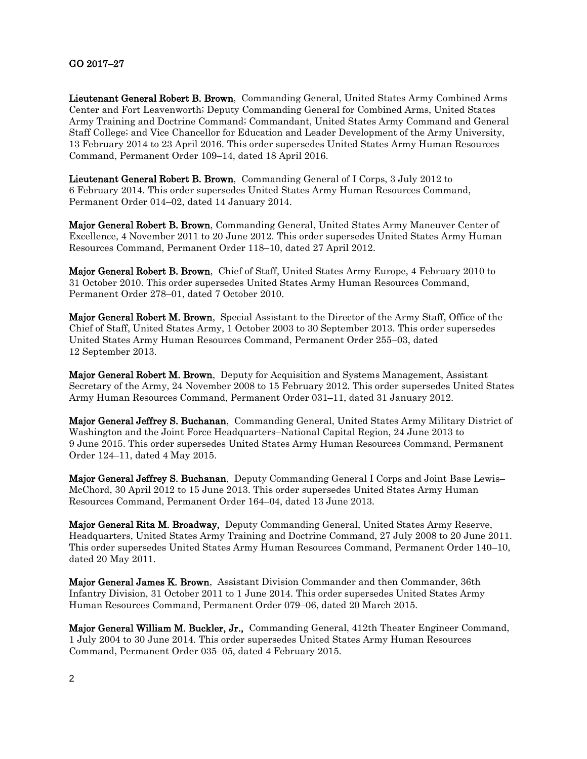## GO 2017–27

Lieutenant General Robert B. Brown, Commanding General, United States Army Combined Arms Center and Fort Leavenworth; Deputy Commanding General for Combined Arms, United States Army Training and Doctrine Command; Commandant, United States Army Command and General Staff College; and Vice Chancellor for Education and Leader Development of the Army University, 13 February 2014 to 23 April 2016. This order supersedes United States Army Human Resources Command, Permanent Order 109–14, dated 18 April 2016.

Lieutenant General Robert B. Brown, Commanding General of I Corps, 3 July 2012 to 6 February 2014. This order supersedes United States Army Human Resources Command, Permanent Order 014–02, dated 14 January 2014.

Major General Robert B. Brown, Commanding General, United States Army Maneuver Center of Excellence, 4 November 2011 to 20 June 2012. This order supersedes United States Army Human Resources Command, Permanent Order 118–10, dated 27 April 2012.

Major General Robert B. Brown, Chief of Staff, United States Army Europe, 4 February 2010 to 31 October 2010. This order supersedes United States Army Human Resources Command, Permanent Order 278–01, dated 7 October 2010.

Major General Robert M. Brown, Special Assistant to the Director of the Army Staff, Office of the Chief of Staff, United States Army, 1 October 2003 to 30 September 2013. This order supersedes United States Army Human Resources Command, Permanent Order 255–03, dated 12 September 2013.

Major General Robert M. Brown, Deputy for Acquisition and Systems Management, Assistant Secretary of the Army, 24 November 2008 to 15 February 2012. This order supersedes United States Army Human Resources Command, Permanent Order 031–11, dated 31 January 2012.

Major General Jeffrey S. Buchanan, Commanding General, United States Army Military District of Washington and the Joint Force Headquarters–National Capital Region, 24 June 2013 to 9 June 2015. This order supersedes United States Army Human Resources Command, Permanent Order 124–11, dated 4 May 2015.

Major General Jeffrey S. Buchanan, Deputy Commanding General I Corps and Joint Base Lewis– McChord, 30 April 2012 to 15 June 2013. This order supersedes United States Army Human Resources Command, Permanent Order 164–04, dated 13 June 2013.

Major General Rita M. Broadway, Deputy Commanding General, United States Army Reserve, Headquarters, United States Army Training and Doctrine Command, 27 July 2008 to 20 June 2011. This order supersedes United States Army Human Resources Command, Permanent Order 140–10, dated 20 May 2011.

Major General James K. Brown, Assistant Division Commander and then Commander, 36th Infantry Division, 31 October 2011 to 1 June 2014. This order supersedes United States Army Human Resources Command, Permanent Order 079–06, dated 20 March 2015.

Major General William M. Buckler, Jr., Commanding General, 412th Theater Engineer Command, 1 July 2004 to 30 June 2014. This order supersedes United States Army Human Resources Command, Permanent Order 035–05, dated 4 February 2015.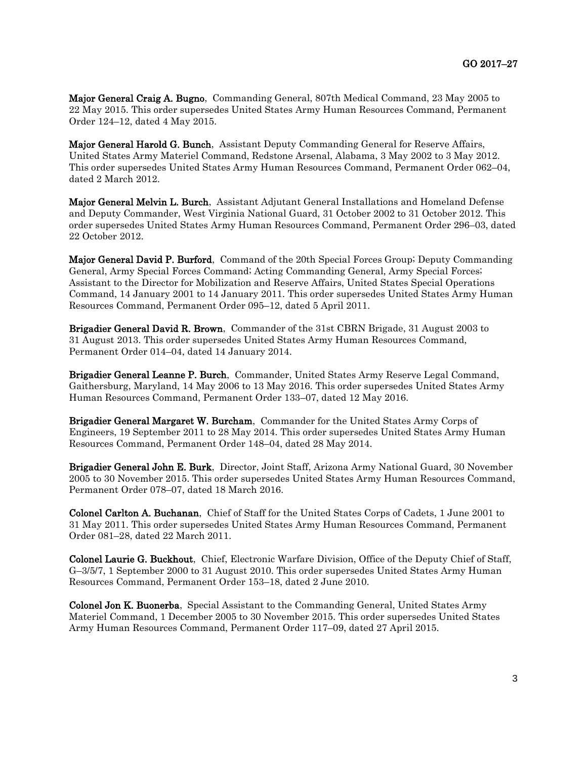Major General Craig A. Bugno, Commanding General, 807th Medical Command, 23 May 2005 to 22 May 2015. This order supersedes United States Army Human Resources Command, Permanent Order 124–12, dated 4 May 2015.

Major General Harold G. Bunch, Assistant Deputy Commanding General for Reserve Affairs, United States Army Materiel Command, Redstone Arsenal, Alabama, 3 May 2002 to 3 May 2012. This order supersedes United States Army Human Resources Command, Permanent Order 062–04, dated 2 March 2012.

Major General Melvin L. Burch, Assistant Adjutant General Installations and Homeland Defense and Deputy Commander, West Virginia National Guard, 31 October 2002 to 31 October 2012. This order supersedes United States Army Human Resources Command, Permanent Order 296–03, dated 22 October 2012.

Major General David P. Burford, Command of the 20th Special Forces Group; Deputy Commanding General, Army Special Forces Command; Acting Commanding General, Army Special Forces; Assistant to the Director for Mobilization and Reserve Affairs, United States Special Operations Command, 14 January 2001 to 14 January 2011. This order supersedes United States Army Human Resources Command, Permanent Order 095–12, dated 5 April 2011.

Brigadier General David R. Brown, Commander of the 31st CBRN Brigade, 31 August 2003 to 31 August 2013. This order supersedes United States Army Human Resources Command, Permanent Order 014–04, dated 14 January 2014.

Brigadier General Leanne P. Burch, Commander, United States Army Reserve Legal Command, Gaithersburg, Maryland, 14 May 2006 to 13 May 2016. This order supersedes United States Army Human Resources Command, Permanent Order 133–07, dated 12 May 2016.

Brigadier General Margaret W. Burcham, Commander for the United States Army Corps of Engineers, 19 September 2011 to 28 May 2014. This order supersedes United States Army Human Resources Command, Permanent Order 148–04, dated 28 May 2014.

Brigadier General John E. Burk, Director, Joint Staff, Arizona Army National Guard, 30 November 2005 to 30 November 2015. This order supersedes United States Army Human Resources Command, Permanent Order 078–07, dated 18 March 2016.

Colonel Carlton A. Buchanan, Chief of Staff for the United States Corps of Cadets, 1 June 2001 to 31 May 2011. This order supersedes United States Army Human Resources Command, Permanent Order 081–28, dated 22 March 2011.

Colonel Laurie G. Buckhout, Chief, Electronic Warfare Division, Office of the Deputy Chief of Staff, G–3/5/7, 1 September 2000 to 31 August 2010. This order supersedes United States Army Human Resources Command, Permanent Order 153–18, dated 2 June 2010.

Colonel Jon K. Buonerba, Special Assistant to the Commanding General, United States Army Materiel Command, 1 December 2005 to 30 November 2015. This order supersedes United States Army Human Resources Command, Permanent Order 117–09, dated 27 April 2015.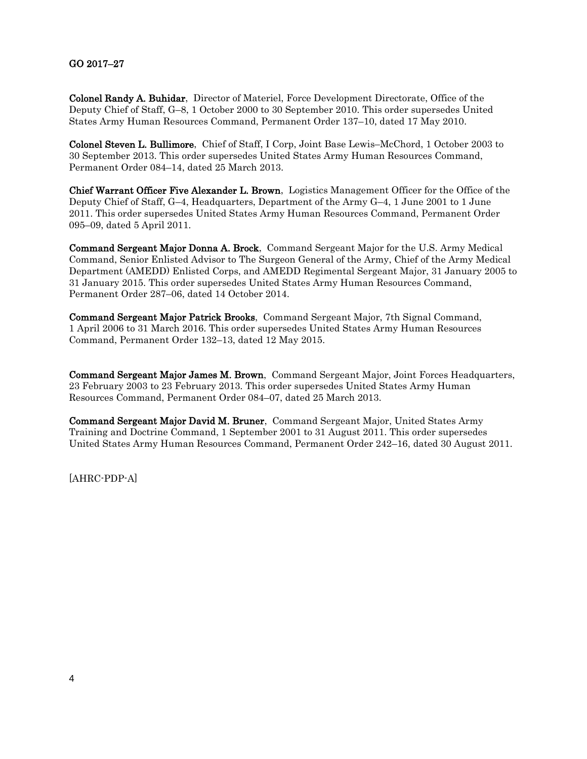## GO 2017–27

Colonel Randy A. Buhidar, Director of Materiel, Force Development Directorate, Office of the Deputy Chief of Staff, G–8, 1 October 2000 to 30 September 2010. This order supersedes United States Army Human Resources Command, Permanent Order 137–10, dated 17 May 2010.

Colonel Steven L. Bullimore, Chief of Staff, I Corp, Joint Base Lewis–McChord, 1 October 2003 to 30 September 2013. This order supersedes United States Army Human Resources Command, Permanent Order 084–14, dated 25 March 2013.

Chief Warrant Officer Five Alexander L. Brown, Logistics Management Officer for the Office of the Deputy Chief of Staff, G–4, Headquarters, Department of the Army G–4, 1 June 2001 to 1 June 2011. This order supersedes United States Army Human Resources Command, Permanent Order 095–09, dated 5 April 2011.

Command Sergeant Major Donna A. Brock, Command Sergeant Major for the U.S. Army Medical Command, Senior Enlisted Advisor to The Surgeon General of the Army, Chief of the Army Medical Department (AMEDD) Enlisted Corps, and AMEDD Regimental Sergeant Major, 31 January 2005 to 31 January 2015. This order supersedes United States Army Human Resources Command, Permanent Order 287–06, dated 14 October 2014.

Command Sergeant Major Patrick Brooks, Command Sergeant Major, 7th Signal Command, 1 April 2006 to 31 March 2016. This order supersedes United States Army Human Resources Command, Permanent Order 132–13, dated 12 May 2015.

Command Sergeant Major James M. Brown, Command Sergeant Major, Joint Forces Headquarters, 23 February 2003 to 23 February 2013. This order supersedes United States Army Human Resources Command, Permanent Order 084–07, dated 25 March 2013.

Command Sergeant Major David M. Bruner, Command Sergeant Major, United States Army Training and Doctrine Command, 1 September 2001 to 31 August 2011. This order supersedes United States Army Human Resources Command, Permanent Order 242–16, dated 30 August 2011.

[AHRC-PDP-A]